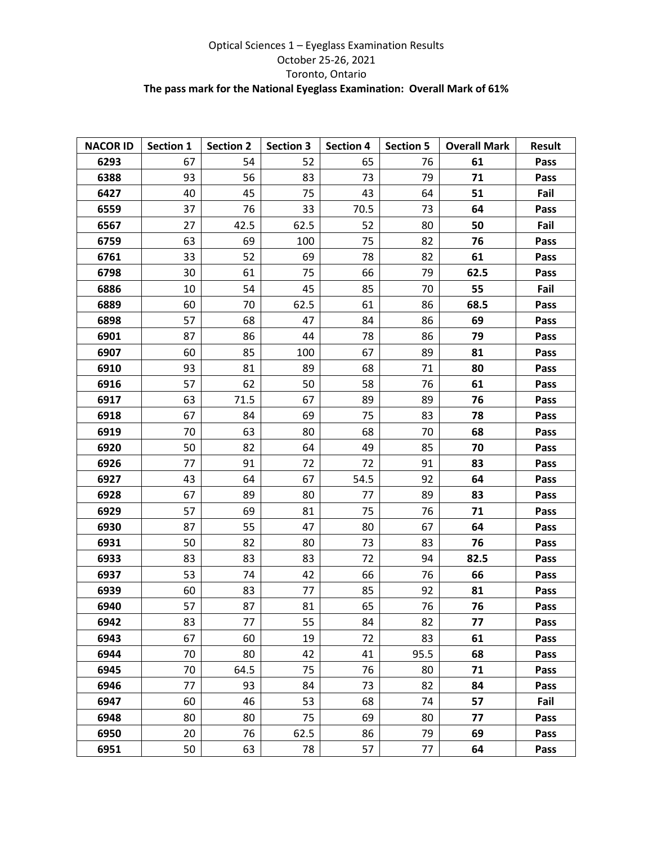## Optical Sciences 1 – Eyeglass Examination Results October 25-26, 2021 Toronto, Ontario **The pass mark for the National Eyeglass Examination: Overall Mark of 61%**

| <b>NACOR ID</b> | Section 1 | <b>Section 2</b> | <b>Section 3</b> | <b>Section 4</b> | <b>Section 5</b> | <b>Overall Mark</b> | <b>Result</b> |
|-----------------|-----------|------------------|------------------|------------------|------------------|---------------------|---------------|
| 6293            | 67        | 54               | 52               | 65               | 76               | 61                  | Pass          |
| 6388            | 93        | 56               | 83               | 73               | 79               | 71                  | Pass          |
| 6427            | 40        | 45               | 75               | 43               | 64               | 51                  | Fail          |
| 6559            | 37        | 76               | 33               | 70.5             | 73               | 64                  | Pass          |
| 6567            | 27        | 42.5             | 62.5             | 52               | 80               | 50                  | Fail          |
| 6759            | 63        | 69               | 100              | 75               | 82               | 76                  | Pass          |
| 6761            | 33        | 52               | 69               | 78               | 82               | 61                  | Pass          |
| 6798            | 30        | 61               | 75               | 66               | 79               | 62.5                | Pass          |
| 6886            | 10        | 54               | 45               | 85               | 70               | 55                  | Fail          |
| 6889            | 60        | 70               | 62.5             | 61               | 86               | 68.5                | Pass          |
| 6898            | 57        | 68               | 47               | 84               | 86               | 69                  | Pass          |
| 6901            | 87        | 86               | 44               | 78               | 86               | 79                  | Pass          |
| 6907            | 60        | 85               | 100              | 67               | 89               | 81                  | Pass          |
| 6910            | 93        | 81               | 89               | 68               | 71               | 80                  | Pass          |
| 6916            | 57        | 62               | 50               | 58               | 76               | 61                  | Pass          |
| 6917            | 63        | 71.5             | 67               | 89               | 89               | 76                  | Pass          |
| 6918            | 67        | 84               | 69               | 75               | 83               | 78                  | Pass          |
| 6919            | 70        | 63               | 80               | 68               | 70               | 68                  | Pass          |
| 6920            | 50        | 82               | 64               | 49               | 85               | 70                  | Pass          |
| 6926            | 77        | 91               | 72               | 72               | 91               | 83                  | Pass          |
| 6927            | 43        | 64               | 67               | 54.5             | 92               | 64                  | Pass          |
| 6928            | 67        | 89               | 80               | 77               | 89               | 83                  | Pass          |
| 6929            | 57        | 69               | 81               | 75               | 76               | 71                  | Pass          |
| 6930            | 87        | 55               | 47               | 80               | 67               | 64                  | Pass          |
| 6931            | 50        | 82               | 80               | 73               | 83               | 76                  | Pass          |
| 6933            | 83        | 83               | 83               | 72               | 94               | 82.5                | Pass          |
| 6937            | 53        | 74               | 42               | 66               | 76               | 66                  | Pass          |
| 6939            | 60        | 83               | 77               | 85               | 92               | 81                  | Pass          |
| 6940            | 57        | 87               | 81               | 65               | 76               | 76                  | Pass          |
| 6942            | 83        | 77               | 55               | 84               | 82               | 77                  | Pass          |
| 6943            | 67        | 60               | 19               | 72               | 83               | 61                  | Pass          |
| 6944            | 70        | 80               | 42               | 41               | 95.5             | 68                  | Pass          |
| 6945            | 70        | 64.5             | 75               | 76               | 80               | 71                  | Pass          |
| 6946            | 77        | 93               | 84               | 73               | 82               | 84                  | Pass          |
| 6947            | 60        | 46               | 53               | 68               | 74               | 57                  | Fail          |
| 6948            | 80        | 80               | 75               | 69               | 80               | 77                  | Pass          |
| 6950            | 20        | 76               | 62.5             | 86               | 79               | 69                  | Pass          |
| 6951            | 50        | 63               | 78               | 57               | 77               | 64                  | Pass          |